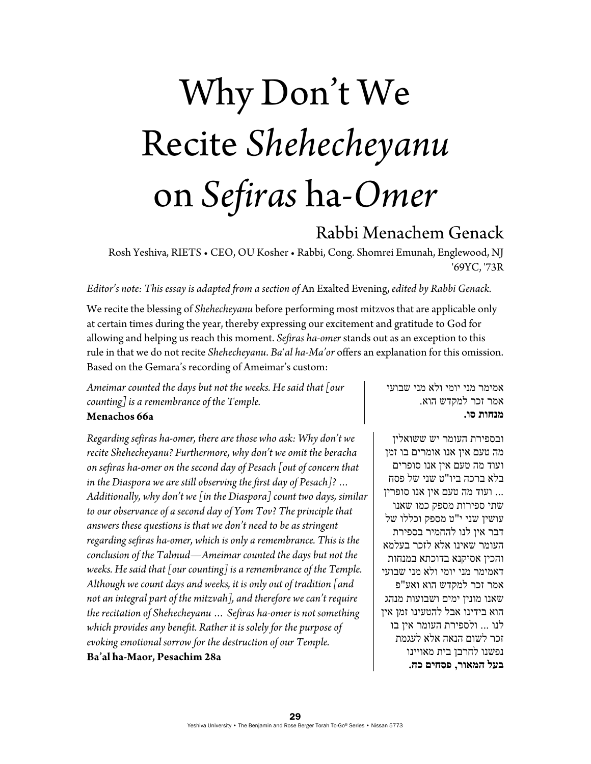## Why Don't We Recite *Shehecheyanu* on *Sefiras* ha-*Omer*

## Rabbi Menachem Genack

Rosh Yeshiva, RIETS • CEO, OU Kosher • Rabbi, Cong. Shomrei Emunah, Englewood, NJ '69YC, '73R

*Editor's note: This essay is adapted from a section of* An Exalted Evening, *edited by Rabbi Genack.* 

We recite the blessing of *Shehecheyanu* before performing most mitzvos that are applicable only at certain times during the year, thereby expressing our excitement and gratitude to God for allowing and helping us reach this moment. *Sefiras ha-omer* stands out as an exception to this rule in that we do not recite *Shehecheyanu*. *Ba*'*al ha*-*Ma'or* offers an explanation for this omission. Based on the Gemara's recording of Ameimar's custom:

*Ameimar counted the days but not the weeks. He said that [our counting] is a remembrance of the Temple.*  **Menachos 66a** 

*Regarding sefiras ha-omer, there are those who ask: Why don't we recite Shehecheyanu? Furthermore, why don't we omit the beracha on sefiras ha-omer on the second day of Pesach [out of concern that in the Diaspora we are still observing the first day of Pesach]? … Additionally, why don't we [in the Diaspora] count two days, similar to our observance of a second day of Yom Tov? The principle that answers these questions is that we don't need to be as stringent regarding sefiras ha-omer, which is only a remembrance. This is the conclusion of the Talmud—Ameimar counted the days but not the weeks. He said that [our counting] is a remembrance of the Temple. Although we count days and weeks, it is only out of tradition [and not an integral part of the mitzvah], and therefore we can't require the recitation of Shehecheyanu … Sefiras ha-omer is not something which provides any benefit. Rather it is solely for the purpose of evoking emotional sorrow for the destruction of our Temple.*  **Ba'al ha-Maor, Pesachim 28a** 

אמימר מני יומי ולא מני שבועי אמר זכר למקדש הוא. **מנחות סו.**

ובספירת העומר יש ששואלין מה טעם אין אנו אומרים בו זמן ועוד מה טעם אין אנו סופרים בלא ברכה ביו"ט שני של פסח ... ועוד מה טעם אין אנו סופרין שתי ספירות מספק כמו שאנו עושין שני י"ט מספק וכללו של דבר אין לנו להחמיר בספירת העומר שאינו אלא לזכר בעלמא והכין אסיקנא בדוכתא במנחות דאמימר מני יומי ולא מני שבועי אמר זכר למקדש הוא ואע"פ שאנו מונין ימים ושבועות מנהג הוא בידינו אבל להטעינו זמן אין לנו ... ולספירת העומר אין בו זכר לשום הנאה אלא לעגמת נפשנו לחרבן בית מאויינו **בעל המאור, פסחים כח.**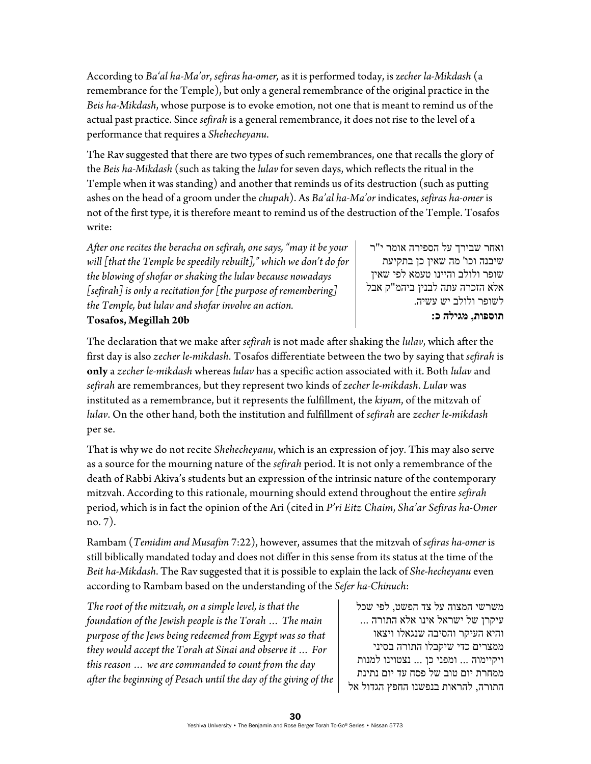According to *Ba'al ha*-*Ma'or*, *sefiras ha-omer,* as it is performed today, is z*echer la-Mikdash* (a remembrance for the Temple), but only a general remembrance of the original practice in the *Beis ha-Mikdash*, whose purpose is to evoke emotion, not one that is meant to remind us of the actual past practice. Since *sefirah* is a general remembrance, it does not rise to the level of a performance that requires a *Shehecheyanu*.

The Rav suggested that there are two types of such remembrances, one that recalls the glory of the *Beis ha-Mikdash* (such as taking the *lulav* for seven days, which reflects the ritual in the Temple when it was standing) and another that reminds us of its destruction (such as putting ashes on the head of a groom under the *chupah*). As *Ba'al ha-Ma'or* indicates, *sefiras ha-omer* is not of the first type, it is therefore meant to remind us of the destruction of the Temple. Tosafos write:

*After one recites the beracha on sefirah, one says, "may it be your will [that the Temple be speedily rebuilt]," which we don't do for the blowing of shofar or shaking the lulav because nowadays [sefirah] is only a recitation for [the purpose of remembering] the Temple, but lulav and shofar involve an action.*  **Tosafos, Megillah 20b**

ואחר שבירך על הספירה אומר י"ר שיבנה וכו' מה שאין כן בתקיעת שופר ולולב והיינו טעמא לפי שאין אלא הזכרה עתה לבנין ביהמ"ק אבל לשופר ולולב יש עשיה. **תוספות, מגילה כ:** 

The declaration that we make after *sefirah* is not made after shaking the *lulav*, which after the first day is also *zecher le-mikdash*. Tosafos differentiate between the two by saying that *sefirah* is **only** a *zecher le-mikdash* whereas *lulav* has a specific action associated with it. Both *lulav* and *sefirah* are remembrances, but they represent two kinds of *zecher le-mikdash*. *Lulav* was instituted as a remembrance, but it represents the fulfillment, the *kiyum*, of the mitzvah of *lulav*. On the other hand, both the institution and fulfillment of *sefirah* are *zecher le-mikdash* per se.

That is why we do not recite *Shehecheyanu*, which is an expression of joy. This may also serve as a source for the mourning nature of the *sefirah* period. It is not only a remembrance of the death of Rabbi Akiva's students but an expression of the intrinsic nature of the contemporary mitzvah. According to this rationale, mourning should extend throughout the entire *sefirah* period, which is in fact the opinion of the Ari (cited in *P'ri Eitz Chaim*, *Sha'ar Sefiras ha-Omer* no. 7).

Rambam (*Temidim and Musafim* 7:22), however, assumes that the mitzvah of *sefiras ha-omer* is still biblically mandated today and does not differ in this sense from its status at the time of the *Beit ha-Mikdash*. The Rav suggested that it is possible to explain the lack of *She-hecheyanu* even according to Rambam based on the understanding of the *Sefer ha-Chinuch*:

*The root of the mitzvah, on a simple level, is that the foundation of the Jewish people is the Torah … The main purpose of the Jews being redeemed from Egypt was so that they would accept the Torah at Sinai and observe it … For this reason … we are commanded to count from the day after the beginning of Pesach until the day of the giving of the* 

משרשי המצוה על צד הפשט, לפי שכל עיקרן של ישראל אינו אלא התורה ... והיא העיקר והסיבה שנגאלו ויצאו ממצרים כדי שיקבלו התורה בסיני ויקיימוה ... ומפני כן ... נצטוינו למנות ממחרת יום טוב של פסח עד יום נתינת התורה, להראות בנפשנו החפץ הגדול אל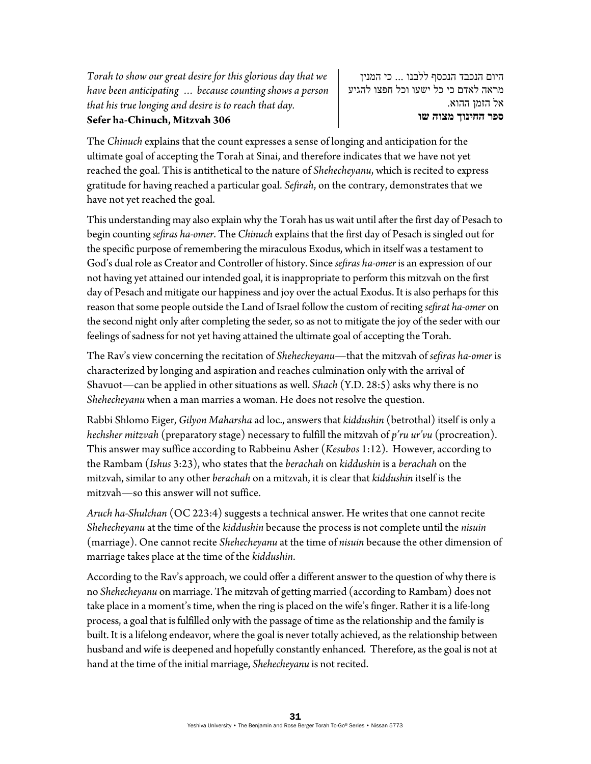*Torah to show our great desire for this glorious day that we have been anticipating … because counting shows a person that his true longing and desire is to reach that day.*  **Sefer ha-Chinuch, Mitzvah 306** 

היום הנכבד הנכסף ללבנו ... כי המנין מראה לאדם כי כל ישעו וכל חפצו להגיע אל הזמן ההוא. **ספר החינוך מצוה שו** 

The *Chinuch* explains that the count expresses a sense of longing and anticipation for the ultimate goal of accepting the Torah at Sinai, and therefore indicates that we have not yet reached the goal. This is antithetical to the nature of *Shehecheyanu*, which is recited to express gratitude for having reached a particular goal. *Sefirah*, on the contrary, demonstrates that we have not yet reached the goal.

This understanding may also explain why the Torah has us wait until after the first day of Pesach to begin counting *sefiras ha-omer*. The *Chinuch* explains that the first day of Pesach is singled out for the specific purpose of remembering the miraculous Exodus, which in itself was a testament to God's dual role as Creator and Controller of history. Since *sefiras ha-omer* is an expression of our not having yet attained our intended goal, it is inappropriate to perform this mitzvah on the first day of Pesach and mitigate our happiness and joy over the actual Exodus. It is also perhaps for this reason that some people outside the Land of Israel follow the custom of reciting *sefirat ha-omer* on the second night only after completing the seder*,* so as not to mitigate the joy of the seder with our feelings of sadness for not yet having attained the ultimate goal of accepting the Torah.

The Rav's view concerning the recitation of *Shehecheyanu*—that the mitzvah of *sefiras ha-omer* is characterized by longing and aspiration and reaches culmination only with the arrival of Shavuot—can be applied in other situations as well. *Shach* (Y.D. 28:5) asks why there is no *Shehecheyanu* when a man marries a woman. He does not resolve the question.

Rabbi Shlomo Eiger, *Gilyon Maharsha* ad loc., answers that *kiddushin* (betrothal) itself is only a *hechsher mitzvah* (preparatory stage) necessary to fulfill the mitzvah of *p'ru ur'vu* (procreation). This answer may suffice according to Rabbeinu Asher (*Kesubos* 1:12). However, according to the Rambam (*Ishus* 3:23), who states that the *berachah* on *kiddushin* is a *berachah* on the mitzvah, similar to any other *berachah* on a mitzvah, it is clear that *kiddushin* itself is the mitzvah—so this answer will not suffice.

*Aruch ha-Shulchan* (OC 223:4) suggests a technical answer. He writes that one cannot recite *Shehecheyanu* at the time of the *kiddushin* because the process is not complete until the *nisuin* (marriage). One cannot recite *Shehecheyanu* at the time of *nisuin* because the other dimension of marriage takes place at the time of the *kiddushin*.

According to the Rav's approach, we could offer a different answer to the question of why there is no *Shehecheyanu* on marriage. The mitzvah of getting married (according to Rambam) does not take place in a moment's time, when the ring is placed on the wife's finger. Rather it is a life-long process, a goal that is fulfilled only with the passage of time as the relationship and the family is built. It is a lifelong endeavor, where the goal is never totally achieved, as the relationship between husband and wife is deepened and hopefully constantly enhanced. Therefore, as the goal is not at hand at the time of the initial marriage, *Shehecheyanu* is not recited.